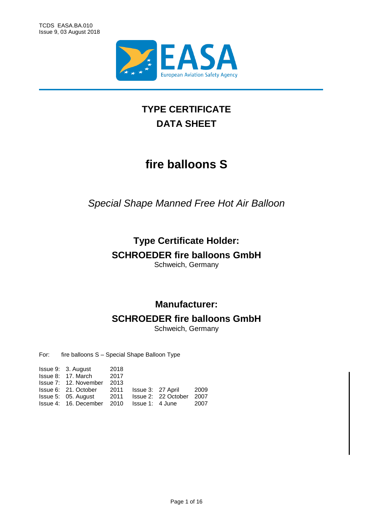

# **TYPE CERTIFICATE DATA SHEET**

# **fire balloons S**

*Special Shape Manned Free Hot Air Balloon*

# **Type Certificate Holder:**

# **SCHROEDER fire balloons GmbH**

Schweich, Germany

# **Manufacturer:**

# **SCHROEDER fire balloons GmbH**

Schweich, Germany

For: fire balloons S – Special Shape Balloon Type

| Issue 9: 3. August    | 2018 |                   |                     |      |
|-----------------------|------|-------------------|---------------------|------|
| Issue 8: 17. March    | 2017 |                   |                     |      |
| Issue 7: 12. November | 2013 |                   |                     |      |
| Issue 6: 21. October  | 2011 | Issue 3: 27 April |                     | 2009 |
| Issue 5: 05. August   | 2011 |                   | Issue 2: 22 October | 2007 |
| Issue 4: 16. December | 2010 | lssue 1: 4 June   |                     | 2007 |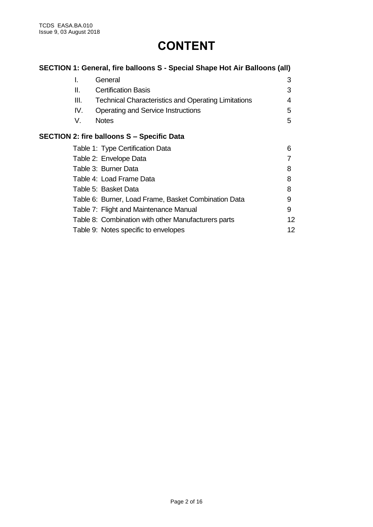# **CONTENT**

|      | SECTION 1: General, fire balloons S - Special Shape Hot Air Balloons (all) |    |
|------|----------------------------------------------------------------------------|----|
| L.   | General                                                                    | 3  |
| II.  | <b>Certification Basis</b>                                                 | 3  |
| III. | <b>Technical Characteristics and Operating Limitations</b>                 | 4  |
| IV.  | <b>Operating and Service Instructions</b>                                  | 5  |
| V.   | <b>Notes</b>                                                               | 5  |
|      | <b>SECTION 2: fire balloons S - Specific Data</b>                          |    |
|      | Table 1: Type Certification Data                                           | 6  |
|      | Table 2: Envelope Data                                                     |    |
|      | Table 3: Burner Data                                                       | 8  |
|      | Table 4: Load Frame Data                                                   | 8  |
|      | Table 5: Basket Data                                                       | 8  |
|      | Table 6: Burner, Load Frame, Basket Combination Data                       | 9  |
|      | Table 7: Flight and Maintenance Manual                                     | 9  |
|      | Table 8: Combination with other Manufacturers parts                        | 12 |
|      | Table 9: Notes specific to envelopes                                       | 12 |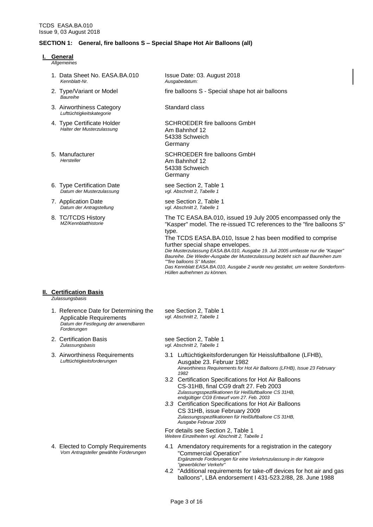#### **SECTION 1: General, fire balloons S – Special Shape Hot Air Balloons (all)**

- **I. General**
	- *Allgemeines*
	- 1. Data Sheet No. EASA.BA.010 *Kennblatt-Nr.*
	- 2. Type/Variant or Model *Baureihe*
	- 3. Airworthiness Category *Lufttüchtigkeitskategorie*
	- 4. Type Certificate Holder *Halter der Musterzulassung*
	- 5. Manufacturer *Hersteller*
	- 6. Type Certification Date *Datum der Musterzulassung*
	- 7. Application Date *Datum der Antragstellung*
	- 8. TC/TCDS History *MZ/Kennblatthistorie*

## **II. Certification Basis**

*Zulassungsbasis*

- 1. Reference Date for Determining the Applicable Requirements *Datum der Festlegung der anwendbaren Forderungen*
- 2. Certification Basis *Zulassungsbasis*
- 3. Airworthiness Requirements *Lufttüchtigkeitsforderungen*

4. Elected to Comply Requirements *Vom Antragsteller gewählte Forderungen* Issue Date: 03. August 2018 *Ausgabedatum:*

fire balloons S - Special shape hot air balloons

Standard class

SCHROEDER fire balloons GmbH Am Bahnhof 12 54338 Schweich Germany

SCHROEDER fire balloons GmbH Am Bahnhof 12 54338 Schweich Germany

see Section 2, Table 1 *vgl. Abschnitt 2, Tabelle 1*

see Section 2, Table 1 *vgl. Abschnitt 2, Tabelle 1*

The TC EASA.BA.010, issued 19 July 2005 encompassed only the "Kasper" model. The re-issued TC references to the "fire balloons S" type.

The TCDS EASA.BA.010, Issue 2 has been modified to comprise further special shape envelopes.

*Die Musterzulassung EASA.BA.010, Ausgabe 19. Juli 2005 umfasste nur die "Kasper" Baureihe. Die Wieder-Ausgabe der Musterzulassung bezieht sich auf Baureihen zum ""fire balloons S" Muster. Das Kennblatt EASA.BA.010, Ausgabe 2 wurde neu gestaltet, um weitere Sonderform-*

see Section 2, Table 1 *vgl. Abschnitt 2, Tabelle 1*

*Hüllen aufnehmen zu können.*

see Section 2, Table 1 *vgl. Abschnitt 2, Tabelle 1*

- 3.1 Luftüchtigkeitsforderungen für Heissluftballone (LFHB), Ausgabe 23. Februar 1982 *Airworthiness Requirements for Hot Air Balloons (LFHB), Issue 23 February 1982*
- 3.2 Certification Specifications for Hot Air Balloons CS-31HB, final CG9 draft 27. Feb 2003 *Zulassungsspezifikationen für Heißluftballone CS 31HB, endgültiger CG9 Entwurf vom 27. Feb. 2003*
- *3.3* Certification Specifications for Hot Air Balloons CS 31HB, issue February 2009 *Zulassungsspezifikationen für Heißluftballone CS 31HB, Ausgabe Februar 2009*

For details see Section 2, Table 1 *Weitere Einzelheiten vgl. Abschnitt 2, Tabelle 1*

- 4.1 Amendatory requirements for a registration in the category "Commercial Operation" *Ergänzende Forderungen für eine Verkehrszulassung in der Kategorie "gewerblicher Verkehr"*
- 4.2 "Additional requirements for take-off devices for hot air and gas balloons", LBA endorsement I 431-523.2/88, 28. June 1988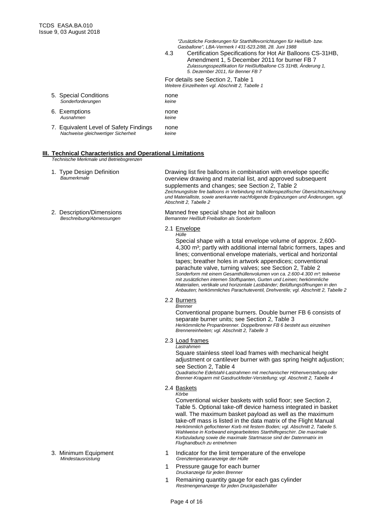*"Zusätzliche Forderungen für Starthilfevorrichtungen für Heißluft- bzw. Gasballone", LBA-Vermerk I 431-523.2/88, 28. Juni 1988*

4.3 Certification Specifications for Hot Air Balloons CS-31HB, Amendment 1, 5 December 2011 for burner FB 7 *Zulassungsspezifikation für Heißluftballone CS 31HB, Änderung 1, 5. Dezember 2011, für Benner FB 7* 

For details see Section 2, Table 1 *Weitere Einzelheiten vgl. Abschnitt 2, Tabelle 1*

| 5. Special Conditions<br>Sonderforderungen                                    | none<br>keine |
|-------------------------------------------------------------------------------|---------------|
| 6. Exemptions<br>Ausnahmen                                                    | none<br>keine |
| 7. Equivalent Level of Safety Findings<br>Nachweise gleichwertiger Sicherheit | none<br>keine |

# **III. Technical Characteristics and Operational Limitations**

*Technische Merkmale und Betriebsgrenzen*

- 1. Type Design Definition *Baumerkmale*
- 2. Description/Dimensions *Beschreibung/Abmessungen*

Drawing list fire balloons in combination with envelope specific overview drawing and material list, and approved subsequent supplements and changes; see Section 2, Table 2 *Zeichnungsliste fire balloons in Verbindung mit hüllenspezifischer Übersichtszeichnung und Materialliste, sowie anerkannte nachfolgende Ergänzungen und Änderungen, vgl. Abschnitt 2, Tabelle 2*

Manned free special shape hot air balloon *Bemannter Heißluft Freiballon als Sonderform*

#### 2.1 Envelope *Hülle*

Special shape with a total envelope volume of approx. 2,600- 4,300 m<sup>3</sup>; partly with additional internal fabric formers, tapes and lines; conventional envelope materials, vertical and horizontal tapes; breather holes in artwork appendices; conventional parachute valve, turning valves; see Section 2, Table 2 *Sonderform mit einem Gesamthüllenvolumen von ca. 2.600-4.300 m³; teilweise mit zusätzlichen internen Stoffspanten, Gurten und Leinen; herkömmliche Materialien, vertikale und horizontale Lastbänder; Belüftungsöffnungen in den Anbauten; herkömmliches Parachuteventil, Drehventile; vgl. Abschnitt 2, Tabelle 2*

#### 2.2 Burners

*Brenner*

Conventional propane burners. Double burner FB 6 consists of separate burner units; see Section 2, Table 3 *Herkömmliche Propanbrenner. Doppelbrenner FB 6 besteht aus einzelnen Brennereinheiten; vgl. Abschnitt 2, Tabelle 3*

2.3 Load frames

*Lastrahmen* Square stainless steel load frames with mechanical height adjustment or cantilever burner with gas spring height adjustion;

see Section 2, Table 4 *Quadratische Edelstahl-Lastrahmen mit mechanischer Höhenverstellung oder Brenner-Kragarm mit Gasdruckfeder-Verstellung; vgl. Abschnitt 2, Tabelle 4*

2.4 Baskets *Körbe*

> Conventional wicker baskets with solid floor; see Section 2, Table 5. Optional take-off device harness integrated in basket wall. The maximum basket payload as well as the maximum take-off mass is listed in the data matrix of the Flight Manual *Herkömmlich geflochtener Korb mit festem Boden; vgl. Abschnitt 2, Tabelle 5. Wahlweise in Korbwand eingearbeitetes Starthilfegeschirr. Die maximale Korbzuladung sowie die maximale Startmasse sind der Datenmatrix im Flughandbuch zu entnehmen*

- 1 Indicator for the limit temperature of the envelope *Grenztemperaturanzeige der Hülle*
- 1 Pressure gauge for each burner *Druckanzeige für jeden Brenner*
- 1 Remaining quantity gauge for each gas cylinder *Restmengenanzeige für jeden Druckgasbehälter*
- 3. Minimum Equipment *Mindestausrüstung*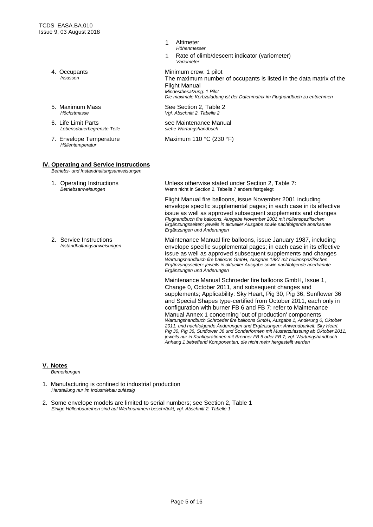- 4. Occupants *Insassen*
- 5. Maximum Mass *Höchstmasse*
- 6. Life Limit Parts *Lebensdauerbegrenzte Teile*
- 7. Envelope Temperature *Hüllentemperatur*

#### **IV. Operating and Service Instructions** *Betriebs- und Instandhaltungsanweisungen*

- 1. Operating Instructions *Betriebsanweisungen*
- 2. Service Instructions *Instandhaltungsanweisungen*
- 1 Altimeter *Höhenmesser*
- 1 Rate of climb/descent indicator (variometer) *Variometer*

Minimum crew: 1 pilot The maximum number of occupants is listed in the data matrix of the Flight Manual *Mindestbesatzung: 1 Pilot Die maximale Korbzuladung ist der Datenmatrix im Flughandbuch zu entnehmen*

See Section 2, Table 2 *Vgl. Abschnitt 2, Tabelle 2*

see Maintenance Manual *siehe Wartungshandbuch*

Maximum 110 °C (230 °F)

Unless otherwise stated under Section 2, Table 7: Wenn nicht in Section 2, Tabelle 7 anders festgelegt

Flight Manual fire balloons, issue November 2001 including envelope specific supplemental pages; in each case in its effective issue as well as approved subsequent supplements and changes *Flughandbuch fire balloons, Ausgabe November 2001 mit hüllenspezifischen Ergänzungsseiten; jeweils in aktueller Ausgabe sowie nachfolgende anerkannte Ergänzungen und Änderungen*

Maintenance Manual fire balloons, issue January 1987, including envelope specific supplemental pages; in each case in its effective issue as well as approved subsequent supplements and changes *Wartungshandbuch fire balloons GmbH, Ausgabe 1987 mit hüllenspezifischen Ergänzungsseiten; jeweils in aktueller Ausgabe sowie nachfolgende anerkannte Ergänzungen und Änderungen*

Maintenance Manual Schroeder fire balloons GmbH, Issue 1, Change 0, October 2011, and subsequent changes and supplements; Applicability: Sky Heart, Pig 30, Pig 36, Sunflower 36 and Special Shapes type-certified from October 2011, each only in configuration with burner FB 6 and FB 7; refer to Maintenance Manual Annex 1 concerning 'out of production' components *Wartungshandbuch Schroeder fire balloons GmbH, Ausgabe 1, Änderung 0, Oktober 2011, und nachfolgende Änderungen und Ergänzungen; Anwendbarkeit: Sky Heart, Pig 30, Pig 36, Sunflower 36 und Sonderformen mit Musterzulassung ab Oktober 2011, jeweils nur in Konfigurationen mit Brenner FB 6 oder FB 7; vgl. Wartungshandbuch Anhang 1 betreffend Komponenten, die nicht mehr hergestellt werden* 

#### **V. Notes**

*Bemerkungen*

- 1. Manufacturing is confined to industrial production *Herstellung nur im Industriebau zulässig*
- 2. Some envelope models are limited to serial numbers; see Section 2, Table 1 *Einige Hüllenbaureihen sind auf Werknummern beschränkt; vgl. Abschnitt 2, Tabelle 1*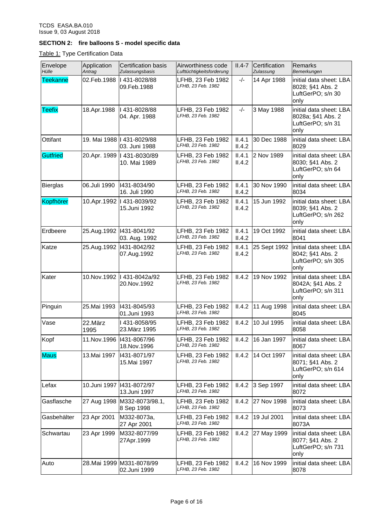# **SECTION 2: fire balloons S - model specific data**

Table 1: Type Certification Data

| Envelope<br>Hülle | Application<br>Antrag | <b>Certification basis</b><br>Zulassungsbasis | Airworthiness code<br>Lufttüchtigkeitsforderung | $II.4-7$         | Certification<br>Zulassung | <b>Remarks</b><br>Bemerkungen                                              |
|-------------------|-----------------------|-----------------------------------------------|-------------------------------------------------|------------------|----------------------------|----------------------------------------------------------------------------|
| <b>Teekanne</b>   | 02.Feb.1988           | I 431-8028/88<br>09.Feb.1988                  | LFHB, 23 Feb 1982<br>LFHB, 23 Feb. 1982         | $-/-$            | 14 Apr 1988                | initial data sheet: LBA<br>8028; §41 Abs. 2<br>LuftGerPO; s/n 30<br>only   |
| <b>Teefix</b>     | 18.Apr.1988           | 1431-8028/88<br>04. Apr. 1988                 | LFHB, 23 Feb 1982<br>LFHB, 23 Feb. 1982         | $-/-$            | 3 May 1988                 | initial data sheet: LBA<br>8028a; §41 Abs. 2<br>LuftGerPO; s/n 31<br>only  |
| Ottifant          |                       | 19. Mai 1988   431-8029/88<br>03. Juni 1988   | LFHB, 23 Feb 1982<br>LFHB, 23 Feb. 1982         | II.4.1<br>II.4.2 | 30 Dec 1988                | initial data sheet: LBA<br>8029                                            |
| <b>Gutfried</b>   |                       | 20.Apr. 1989   431-8030/89<br>10. Mai 1989    | LFHB, 23 Feb 1982<br>LFHB, 23 Feb. 1982         | II.4.1<br>II.4.2 | 2 Nov 1989                 | initial data sheet: LBA<br>8030; §41 Abs. 2<br>LuftGerPO; s/n 64<br>only   |
| <b>Bierglas</b>   | 06.Juli 1990          | 1431-8034/90<br>16. Juli 1990                 | LFHB, 23 Feb 1982<br>LFHB, 23 Feb. 1982         | II.4.1<br>II.4.2 | 30 Nov 1990                | initial data sheet: LBA<br>8034                                            |
| Kopfhörer         |                       | 10.Apr.1992   431-8039/92<br>15.Juni 1992     | LFHB, 23 Feb 1982<br>LFHB, 23 Feb. 1982         | II.4.1<br>II.4.2 | 15 Jun 1992                | initial data sheet: LBA<br>8039; §41 Abs. 2<br>LuftGerPO; s/n 262<br>only  |
| Erdbeere          |                       | 25.Aug.1992   1431-8041/92<br>03. Aug. 1992   | LFHB, 23 Feb 1982<br>LFHB, 23 Feb. 1982         | II.4.1<br>II.4.2 | 19 Oct 1992                | initial data sheet: LBA<br>8041                                            |
| Katze             | 25.Aug.1992           | 1431-8042/92<br>07.Aug.1992                   | LFHB, 23 Feb 1982<br>LFHB, 23 Feb. 1982         | II.4.1<br>II.4.2 | 25 Sept 1992               | initial data sheet: LBA<br>8042; §41 Abs. 2<br>LuftGerPO; s/n 305<br>only  |
| Kater             | 10.Nov.1992           | 431-8042a/92<br>20.Nov.1992                   | LFHB, 23 Feb 1982<br>LFHB, 23 Feb. 1982         | II.4.2           | 19 Nov 1992                | initial data sheet: LBA<br>8042A; §41 Abs. 2<br>LuftGerPO; s/n 311<br>only |
| Pinguin           | 25.Mai 1993           | 1431-8045/93<br>01.Juni 1993                  | LFHB, 23 Feb 1982<br>LFHB, 23 Feb. 1982         | II.4.2           | 11 Aug 1998                | initial data sheet: LBA<br>8045                                            |
| Vase              | 22.März<br>1995       | I 431-8058/95<br>23. März 1995                | LFHB, 23 Feb 1982<br>LFHB, 23 Feb. 1982         | II.4.2           | 10 Jul 1995                | initial data sheet: LBA<br>8058                                            |
| Kopf              |                       | 11.Nov.1996   1431-8067/96<br>18. Nov. 1996   | LFHB, 23 Feb 1982<br>LFHB, 23 Feb. 1982         |                  | II.4.2 16 Jan 1997         | initial data sheet: LBA <br>8067                                           |
| <b>Maus</b>       | 13. Mai 1997          | 1431-8071/97<br>15.Mai 1997                   | LFHB, 23 Feb 1982<br>LFHB, 23 Feb. 1982         | II.4.2           | 14 Oct 1997                | initial data sheet: LBA<br>8071; §41 Abs. 2<br>LuftGerPO; s/n 614<br>only  |
| Lefax             | 10.Juni 1997          | 1431-8072/97<br>13.Juni 1997                  | LFHB, 23 Feb 1982<br>LFHB, 23 Feb. 1982         | II.4.2           | 3 Sep 1997                 | initial data sheet: LBA<br>8072                                            |
| Gasflasche        | 27 Aug 1998           | M332-8073/98.1,<br>8 Sep 1998                 | LFHB, 23 Feb 1982<br>LFHB, 23 Feb. 1982         | II.4.2           | 27 Nov 1998                | initial data sheet: LBA<br>8073                                            |
| Gasbehälter       | 23 Apr 2001           | M332-8073a,<br>27 Apr 2001                    | LFHB, 23 Feb 1982<br>LFHB, 23 Feb. 1982         | II.4.2           | 19 Jul 2001                | initial data sheet: LBA<br>8073A                                           |
| Schwartau         | 23 Apr 1999           | M332-8077/99<br>27Apr.1999                    | LFHB, 23 Feb 1982<br>LFHB, 23 Feb. 1982         | II.4.2           | 27 May 1999                | initial data sheet: LBA<br>8077; §41 Abs. 2<br>LuftGerPO; s/n 731<br>only  |
| Auto              |                       | 28. Mai 1999   M331-8078/99<br>02.Juni 1999   | LFHB, 23 Feb 1982<br>LFHB, 23 Feb. 1982         | II.4.2           | 16 Nov 1999                | initial data sheet: LBA<br>8078                                            |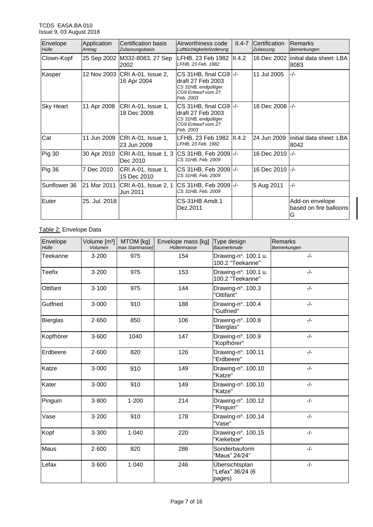| Envelope<br>Hülle | Application<br>Antrag | Certification basis<br>Zulassungsbasis        | Airworthiness code<br>Lufttüchtigkeitsforderung                                                                          | $II.4-7$ | Certification<br>Zulassung | Remarks<br>Bemerkungen                         |
|-------------------|-----------------------|-----------------------------------------------|--------------------------------------------------------------------------------------------------------------------------|----------|----------------------------|------------------------------------------------|
| Clown-Kopf        |                       | 25 Sep 2002 M332-8083, 27 Sep<br>2002         | LFHB, 23 Feb 1982<br>LFHB, 23 Feb. 1982                                                                                  | II.4.2   |                            | 16 Dec 2002  initial data sheet: LBA<br>8083   |
| Kasper            |                       | 12 Nov 2003 CRI A-01, Issue 2,<br>16 Apr 2004 | $CS$ 31HB, final CG9 $\left  - \right $<br>draft 27 Feb 2003<br>CS 31HB, endqültiger<br>CG9 Entwurf vom 27.<br>Feb. 2003 |          | 11 Jul 2005                | $-/-$                                          |
| <b>Sky Heart</b>  | 11 Apr 2008           | CRI A-01, Issue 1,<br>18 Dec 2008             | $CS$ 31HB, final CG9 $\left -\right $<br>draft 27 Feb 2003<br>CS 31HB, endgültiger<br>CG9 Entwurf vom 27.<br>Feb. 2003   |          | 18 Dec 2008 -/-            |                                                |
| Cat               | 11 Jun 2009           | CRI A-01, Issue 1,<br>23 Jun 2009             | LFHB, 23 Feb 1982  II.4.2<br>LFHB, 23 Feb. 1982                                                                          |          |                            | 24 Jun 2009   initial data sheet: LBA<br>8042  |
| <b>Pig 30</b>     | 30 Apr 2010           | CRI A-01, Issue 1, 3<br>Dec 2010              | ICS 31HB, Feb 2009 -/-<br>CS 31HB, Feb. 2009                                                                             |          | 16 Dec 2010 -/-            |                                                |
| Pig 36            | 7 Dec 2010            | CRI A-01, Issue 1,<br>15 Dec 2010             | CS 31HB, Feb 2009 -/-<br>CS 31HB, Feb. 2009                                                                              |          | 16 Dec 2010 -/-            |                                                |
| Sunflower 36      | 21 Mar 2011           | CRI A-01, Issue 2, 1<br>Jun 2011              | CS 31HB, Feb 2009 - /-<br>CS 31HB, Feb. 2009                                                                             |          | 5 Aug 2011                 | $-/-$                                          |
| Euter             | 25. Jul. 2018         |                                               | CS-31HB Amdt.1<br>Dez.2011                                                                                               |          |                            | Add-on envelope<br>based on fire balloons<br>G |

# Table 2: Envelope Data

| Envelope<br>Hülle | Volume [m <sup>3</sup> ]<br>Volumen | MTOM [kg]<br>max Startmasse] | Envelope mass [kg]<br>Hüllenmasse | Type design<br><b>Baumerkmale</b>            | Remarks<br>Bemerkungen |
|-------------------|-------------------------------------|------------------------------|-----------------------------------|----------------------------------------------|------------------------|
| Teekanne          | $3 - 200$                           | 975                          | 154                               | Drawing-n°. 100.1 u.<br>100.2 "Teekanne"     | $-/-$                  |
| <b>Teefix</b>     | $3 - 200$                           | 975                          | 153                               | Drawing-n°. 100.1 u.<br>100.2 "Teekanne"     | $-/-$                  |
| Ottifant          | 3.100                               | 975                          | 144                               | Drawing-n°. 100.3<br>"Ottifant"              | $-/-$                  |
| Gutfried          | 3.000                               | 910                          | 188                               | Drawing-n°. 100.4<br>"Gutfried"              | $-/-$                  |
| <b>Bierglas</b>   | 2.650                               | 850                          | 106                               | Drawing-n°. 100.8<br>"Bierglas"              | $-/-$                  |
| Kopfhörer         | 3.600                               | 1040                         | 147                               | Drawing-n°. 100.9<br>"Kopfhörer"             | $-/-$                  |
| Erdbeere          | 2.600                               | 820                          | 126                               | Drawing-n°. 100.11<br>"Erdbeere"             | $-/-$                  |
| Katze             | 3.000                               | 910                          | 149                               | Drawing-n°. 100.10<br>"Katze"                | $-/-$                  |
| Kater             | 3.000                               | 910                          | 149                               | Drawing-n°. 100.10<br>"Katze"                | $-/-$                  |
| Pinguin           | $3 - 800$                           | 1.200                        | 214                               | Drawing-n°. 100.12<br>"Pinguin"              | $-/-$                  |
| Vase              | $3 - 200$                           | 910                          | 178                               | Drawing-n°. 100.14<br>"Vase"                 | $-/-$                  |
| Kopf              | 3.300                               | 1.040                        | 220                               | Drawing-n°. 100.15<br>"Kiekeboe"             | $-/-$                  |
| Maus              | 2.600                               | 820                          | 286                               | Sonderbauform<br>"Maus" 24/24"               | $-/-$                  |
| Lefax             | 3.600                               | 1.040                        | 246                               | Übersichtsplan<br>"Lefax" 36/24 (6<br>pages) | $-/-$                  |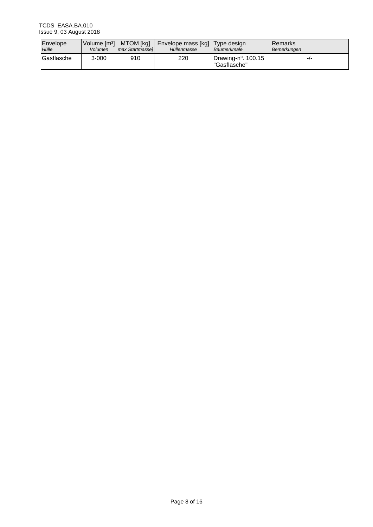| Envelope<br>Hülle | Volume [m <sup>3</sup> ]   MTOM [kg]<br>Volumen | max Startmassel | Envelope mass [kg] Type design<br>Hüllenmasse | Baumerkmale                                   | <b>IRemarks</b><br>Bemerkungen |
|-------------------|-------------------------------------------------|-----------------|-----------------------------------------------|-----------------------------------------------|--------------------------------|
| <b>Gasflasche</b> | 3.000                                           | 910             | 220                                           | Drawing-n $^{\circ}$ . 100.15<br>"Gasflasche" | -1-                            |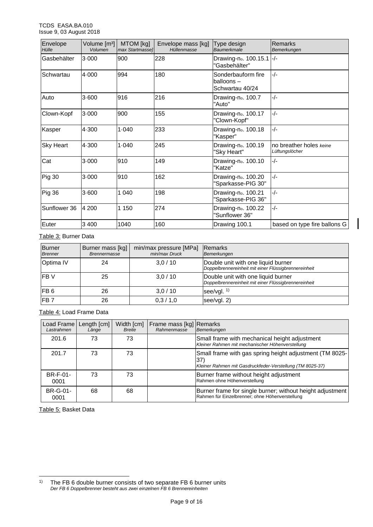| Envelope<br>Hülle | Volume $[m^3]$<br>Volumen | MTOM [kg]<br>max Startmasse] | Envelope mass [kg]<br>Hüllenmasse | Type design<br><b>Baumerkmale</b>                  | Remarks<br>Bemerkungen                            |
|-------------------|---------------------------|------------------------------|-----------------------------------|----------------------------------------------------|---------------------------------------------------|
| Gasbehälter       | 3.000                     | 900                          | 228                               | Drawing-no. 100.15.1 -/-<br>"Gasbehälter"          |                                                   |
| Schwartau         | 4.000                     | 994                          | 180                               | Sonderbauform fire<br>balloons-<br>Schwartau 40/24 | $-/-$                                             |
| Auto              | $3 - 600$                 | 916                          | 216                               | Drawing-no. 100.7<br>"Auto"                        | $-/-$                                             |
| Clown-Kopf        | 3.000                     | 900                          | 155                               | Drawing-no. 100.17<br>"Clown-Kopf"                 | $-/-$                                             |
| Kasper            | 4.300                     | 1.040                        | 233                               | Drawing-no. 100.18<br>"Kasper"                     | $-/-$                                             |
| <b>Sky Heart</b>  | 4.300                     | 1.040                        | 245                               | Drawing-no. 100.19<br>"Sky Heart"                  | Ino breather holes <i>keine</i><br>Lüftungslöcher |
| Cat               | 3.000                     | 910                          | 149                               | Drawing-no. 100.10<br>"Katze"                      | $-/-$                                             |
| <b>Pig 30</b>     | 3.000                     | 910                          | 162                               | Drawing-no. 100.20<br>"Sparkasse-PIG 30"           | $-/-$                                             |
| Pig 36            | 3.600                     | 1 0 4 0                      | 198                               | Drawing-no. 100.21<br>"Sparkasse-PIG 36"           | $-/-$                                             |
| Sunflower 36      | 4 200                     | 1 1 5 0                      | 274                               | Drawing-no. 100.22<br>"Sunflower 36"               | $-/-$                                             |
| Euter             | 3 4 0 0                   | 1040                         | 160                               | Drawing 100.1                                      | based on type fire ballons G                      |

### Table 3: Burner Data

| <b>Burner</b><br><b>Brenner</b> | Burner mass [kg]<br><b>Brennermasse</b> | min/max pressure [MPa]<br>min/max Druck | <b>IRemarks</b><br>Bemerkungen                                                             |
|---------------------------------|-----------------------------------------|-----------------------------------------|--------------------------------------------------------------------------------------------|
| Optima IV                       | 24                                      | 3,0/10                                  | Double unit with one liquid burner<br>Doppelbrennereinheit mit einer Flüssigbrennereinheit |
| <b>IFB</b> V                    | 25                                      | 3,0/10                                  | Double unit with one liquid burner<br>Doppelbrennereinheit mit einer Flüssigbrennereinheit |
| IFB <sub>6</sub>                | 26                                      | 3,0/10                                  | see/vgl. $1$ )                                                                             |
| FB <sub>7</sub>                 | 26                                      | 0,3/1,0                                 | see/vgl. 2)                                                                                |

# Table 4: Load Frame Data

| Load Frame<br>Lastrahmen | Length [cm]<br>Länge | Width [cm]<br><b>Breite</b> | Frame mass [kg] Remarks<br>Rahmenmasse | Bemerkungen                                                                                                                 |
|--------------------------|----------------------|-----------------------------|----------------------------------------|-----------------------------------------------------------------------------------------------------------------------------|
| 201.6                    | 73                   | 73                          |                                        | Small frame with mechanical height adjustment<br>Kleiner Rahmen mit mechanischer Höhenverstellung                           |
| 201.7                    | 73                   | 73                          |                                        | Small frame with gas spring height adjustment (TM 8025-<br>37)<br>Kleiner Rahmen mit Gasdruckfeder-Verstellung (TM 8025-37) |
| BR-F-01-<br>0001         | 73                   | 73                          |                                        | Burner frame without height adjustment<br>Rahmen ohne Höhenverstellung                                                      |
| BR-G-01-<br>0001         | 68                   | 68                          |                                        | Burner frame for single burner; without height adjustment<br>Rahmen für Einzelbrenner; ohne Höhenverstellung                |

Table 5: Basket Data

l

<sup>&</sup>lt;sup>1)</sup> The FB 6 double burner consists of two separate FB 6 burner units *Der FB 6 Doppelbrenner besteht aus zwei einzelnen FB 6 Brennereinheiten*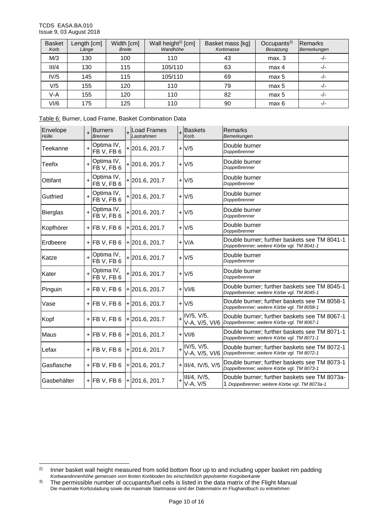l

| <b>Basket</b><br>Korb | Length [cm]<br>Länge | Width [cm]<br><b>Breite</b> | Wall height <sup>2)</sup> [cm]<br>Wandhöhe | Basket mass [kg]<br>Korbmasse | Occupants $3)$<br>Besatzung | Remarks<br>Bemerkungen |
|-----------------------|----------------------|-----------------------------|--------------------------------------------|-------------------------------|-----------------------------|------------------------|
| M/3                   | 130                  | 100                         | 110                                        | 43                            | max.3                       | -/-                    |
| III/4                 | 130                  | 115                         | 105/110                                    | 63                            | max 4                       | $-I -$                 |
| IV/5                  | 145                  | 115                         | 105/110                                    | 69                            | max 5                       | $-1$                   |
| V/5                   | 155                  | 120                         | 110                                        | 79                            | max 5                       | $-1$                   |
| V-A                   | 155                  | 120                         | 110                                        | 82                            | max 5                       | -/-                    |
| V <sub>1</sub> /6     | 175                  | 125                         | 110                                        | 90                            | max 6                       | $-1-$                  |

| Table 6: Burner, Load Frame, Basket Combination Data |  |
|------------------------------------------------------|--|
|------------------------------------------------------|--|

| Envelope<br>Hülle | $\ddot{}$ | <b>Burners</b><br><b>Brenner</b> | Load Frames<br>Lastrahmen     | <b>Baskets</b><br>Korb             | Remarks<br>Bemerkungen                                                                         |
|-------------------|-----------|----------------------------------|-------------------------------|------------------------------------|------------------------------------------------------------------------------------------------|
| Teekanne          | $\ddot{}$ | Optima IV,<br>FB V, FB 6         | $+201.6, 201.7$               | $+1$                               | Double burner<br>Doppelbrenner                                                                 |
| Teefix            | $\ddot{}$ | Optima IV,<br>FB V, FB 6         | $+201.6, 201.7$               | $+10$                              | Double burner<br>Doppelbrenner                                                                 |
| Ottifant          | $\ddot{}$ | Optima IV,<br>FB V, FB 6         | $+201.6, 201.7$               | $+V/5$                             | Double burner<br>Doppelbrenner                                                                 |
| Gutfried          | $\ddot{}$ | Optima IV,<br>FB V, FB 6         | $+201.6, 201.7$               | $+1$                               | Double burner<br>Doppelbrenner                                                                 |
| <b>Bierglas</b>   | $\ddot{}$ | Optima IV,<br>FB V, FB 6         | $+201.6, 201.7$               | $+V/5$                             | Double burner<br>Doppelbrenner                                                                 |
| Kopfhörer         |           | $+$ FB V, FB 6                   | $+201.6, 201.7$               | $+V/5$                             | Double burner<br>Doppelbrenner                                                                 |
| Erdbeere          |           | $+$ FB V, FB 6                   | $+201.6, 201.7$               | $+V/A$                             | Double burner; further baskets see TM 8041-1<br>Doppelbrenner: weitere Körbe vgl. TM 8041-1    |
| Katze             | $\ddot{}$ | Optima IV,<br>FB V, FB 6         | $+201.6, 201.7$               | $+1$                               | Double burner<br>Doppelbrenner                                                                 |
| Kater             | $\ddot{}$ | Optima IV,<br>FB V, FB 6         | $+201.6, 201.7$               | $+V/5$                             | Double burner<br>Doppelbrenner                                                                 |
| Pinguin           |           | $+$ FB V, FB 6                   | $+201.6, 201.7$               | $+$ $VI/6$                         | Double burner; further baskets see TM 8045-1<br>Doppelbrenner; weitere Körbe vgl. TM 8045-1    |
| Vase              |           | $+$ FB V, FB 6                   | $+201.6, 201.7$               | $+1$                               | Double burner; further baskets see TM 8058-1<br>Doppelbrenner; weitere Körbe vgl. TM 8058-1    |
| Kopf              |           | $+$ FB V, FB 6                   | $+201.6, 201.7$               | $+$ $ V/5, V/5,$<br>V-A, V/5, VI/6 | Double burner; further baskets see TM 8067-1<br>Doppelbrenner; weitere Körbe vgl. TM 8067-1    |
| Maus              |           | $+$ FB V, FB 6                   | $+201.6, 201.7$               | $+$ VI/6                           | Double burner; further baskets see TM 8071-1<br>Doppelbrenner; weitere Körbe vgl. TM 8071-1    |
| Lefax             |           | $+$ FB V, FB 6                   | $+201.6, 201.7$               | $+$ $ V/5, V/5,$<br>V-A, V/5, VI/6 | Double burner; further baskets see TM 8072-1<br>Doppelbrenner; weitere Körbe vgl. TM 8072-1    |
| Gasflasche        |           | $+$ FB V, FB 6                   | $+201.6, 201.7$               | $+$ III/4, IV/5, V/5               | Double burner; further baskets see TM 8073-1<br>Doppelbrenner; weitere Körbe vgl. TM 8073-1    |
| Gasbehälter       |           |                                  | $+$ FB V, FB 6 + 201.6, 201.7 | III/4, IV/5,<br>V-A, V/5           | Double burner; further baskets see TM 8073a-<br>1 Doppelbrenner; weitere Körbe vgl. TM 8073a-1 |

<sup>2)</sup> Inner basket wall height measured from solid bottom floor up to and including upper basket rim padding *Korbwandinnenhöhe gemessen vom festen Korbboden bis einschließlich gepolsterter Korgoberkante*

<sup>&</sup>lt;sup>3)</sup> The permissible number of occupants/fuel cells is listed in the data matrix of the Flight Manual Die maximale Korbzuladung sowie die maximale Startmasse sind der Datenmatrix im Flughandbuch zu entnehmen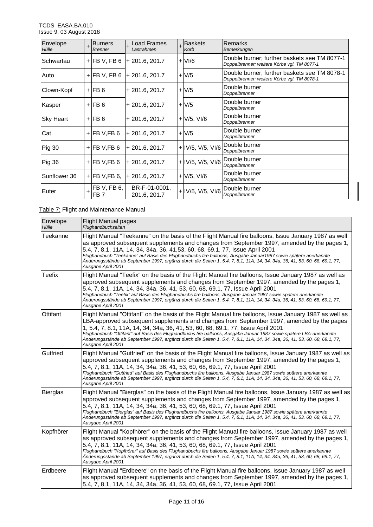| Envelope<br>Hülle | $\ddot{}$ | <b>Burners</b><br><b>Brenner</b> | +Load Frames<br>Lastrahmen    | +Baskets<br>Korb    | Remarks<br>Bemerkungen                                                                      |
|-------------------|-----------|----------------------------------|-------------------------------|---------------------|---------------------------------------------------------------------------------------------|
| Schwartau         |           | $+$ FB V, FB 6                   | $+201.6, 201.7$               | $+$ VI/6            | Double burner; further baskets see TM 8077-1<br>Doppelbrenner; weitere Körbe vgl. TM 8077-1 |
| Auto              |           | $+$ FB V, FB 6                   | $+201.6, 201.7$               | $+V/5$              | Double burner; further baskets see TM 8078-1<br>Doppelbrenner; weitere Körbe vgl. TM 8078-1 |
| Clown-Kopf        |           | $+$ FB 6                         | $+201.6, 201.7$               | $+V/5$              | Double burner<br>Doppelbrenner                                                              |
| Kasper            |           | $+$ FB 6                         | $+201.6, 201.7$               | $+V/5$              | Double burner<br>Doppelbrenner                                                              |
| <b>Sky Heart</b>  |           | $+$ FB 6                         | $+201.6, 201.7$               | $+$ $V/5$ , $V/6$   | Double burner<br>Doppelbrenner                                                              |
| Cat               |           | $+$ FB V,FB 6                    | $+201.6, 201.7$               | $+ V/5$             | Double burner<br>Doppelbrenner                                                              |
| <b>Pig 30</b>     |           | $+$ FB V, FB 6                   | $+201.6, 201.7$               | $+$ IV/5, V/5, VI/6 | Double burner<br>Doppelbrenner                                                              |
| <b>Pig 36</b>     |           | $+$ FB V, FB 6                   | $+201.6, 201.7$               | $+$ IV/5, V/5, VI/6 | Double burner<br>Doppelbrenner                                                              |
| Sunflower 36      |           | $+$ FB V, FB 6,                  | $+201.6, 201.7$               | $+$ V/5, VI/6       | Double burner<br>Doppelbrenner                                                              |
| Euter             |           | FB V, FB 6,<br>FB 7              | BR-F-01-0001,<br>201.6, 201.7 | $+$ IV/5, V/5, VI/6 | Double burner<br>Doppelbrenner                                                              |

### Table 7: Flight and Maintenance Manual

| Envelope<br>Hülle | <b>Flight Manual pages</b><br>Flughandbuchseiten                                                                                                                                                                                                                                                                                                                                                                                                                                                                                                                     |
|-------------------|----------------------------------------------------------------------------------------------------------------------------------------------------------------------------------------------------------------------------------------------------------------------------------------------------------------------------------------------------------------------------------------------------------------------------------------------------------------------------------------------------------------------------------------------------------------------|
| Teekanne          | Flight Manual "Teekanne" on the basis of the Flight Manual fire balloons, Issue January 1987 as well<br>as approved subsequent supplements and changes from September 1997, amended by the pages 1,<br>5.4, 7, 8.1, 11A, 14, 34, 34a, 36, 41, 53, 60, 68, 69.1, 77, Issue April 2001<br>Flughandbuch "Teekanne" auf Basis des Flughandbuchs fire balloons, Ausgabe Januar1987 sowie spätere anerkannte<br>Änderungsstände ab September 1997, ergänzt durch die Seiten 1, 5.4, 7, 8.1, 11A, 14, 34, 34a, 36, 41, 53, 60, 68, 69.1, 77,<br>Ausgabe April 2001          |
| <b>Teefix</b>     | Flight Manual "Teefix" on the basis of the Flight Manual fire balloons, Issue January 1987 as well as<br>approved subsequent supplements and changes from September 1997, amended by the pages 1,<br>5.4, 7, 8.1, 11A, 14, 34, 34a, 36, 41, 53, 60, 68, 69.1, 77, Issue April 2001<br>Flughandbuch "Teefix" auf Basis des Flughandbuchs fire balloons, Ausgabe Januar 1987 sowie spätere anerkannte<br>Änderungsstände ab September 1997, ergänzt durch die Seiten 1, 5.4, 7, 8.1, 11A, 14, 34, 34a, 36, 41, 53, 60, 68, 69.1, 77,<br>Ausgabe April 2001             |
| <b>Ottifant</b>   | Flight Manual "Ottifant" on the basis of the Flight Manual fire balloons, Issue January 1987 as well as<br>LBA-approved subsequent supplements and changes from September 1997, amended by the pages<br>1, 5.4, 7, 8.1, 11A, 14, 34, 34a, 36, 41, 53, 60, 68, 69.1, 77, Issue April 2001<br>Flughandbuch "Ottifant" auf Basis des Flughandbuchs fire balloons, Ausgabe Januar 1987 sowie spätere LBA-anerkannte<br>Änderungsstände ab September 1997, ergänzt durch die Seiten 1, 5.4, 7, 8.1, 11A, 14, 34, 34a, 36, 41, 53, 60, 68, 69.1, 77,<br>Ausgabe April 2001 |
| Gutfried          | Flight Manual "Gutfried" on the basis of the Flight Manual fire balloons, Issue January 1987 as well as<br>approved subsequent supplements and changes from September 1997, amended by the pages 1,<br>5.4, 7, 8.1, 11A, 14, 34, 34a, 36, 41, 53, 60, 68, 69.1, 77, Issue April 2001<br>Flughandbuch "Gutfried" auf Basis des Flughandbuchs fire balloons, Ausgabe Januar 1987 sowie spätere anerkannte<br>Ånderungsstände ab September 1997, ergänzt durch die Seiten 1, 5.4, 7, 8.1, 11A, 14, 34, 34a, 36, 41, 53, 60, 68, 69.1, 77,<br>Ausgabe April 2001         |
| Bierglas          | Flight Manual "Bierglas" on the basis of the Flight Manual fire balloons, Issue January 1987 as well as<br>approved subsequent supplements and changes from September 1997, amended by the pages 1,<br>5.4, 7, 8.1, 11A, 14, 34, 34a, 36, 41, 53, 60, 68, 69.1, 77, Issue April 2001<br>Flughandbuch "Bierglas" auf Basis des Flughandbuchs fire balloons, Ausgabe Januar 1987 sowie spätere anerkannte<br>Änderungsstände ab September 1997, ergänzt durch die Seiten 1, 5.4, 7, 8.1, 11A, 14, 34, 34a, 36, 41, 53, 60, 68, 69.1, 77,<br>Ausgabe April 2001         |
| Kopfhörer         | Flight Manual "Kopfhörer" on the basis of the Flight Manual fire balloons, Issue January 1987 as well<br>as approved subsequent supplements and changes from September 1997, amended by the pages 1,<br>5.4, 7, 8.1, 11A, 14, 34, 34a, 36, 41, 53, 60, 68, 69.1, 77, Issue April 2001<br>Flughandbuch "Kopfhörer" auf Basis des Flughandbuchs fire balloons, Ausgabe Januar 1987 sowie spätere anerkannte<br>Änderungsstände ab September 1997, ergänzt durch die Seiten 1, 5.4, 7, 8.1, 11A, 14, 34, 34a, 36, 41, 53, 60, 68, 69.1, 77,<br>Ausgabe April 2001       |
| Erdbeere          | Flight Manual "Erdbeere" on the basis of the Flight Manual fire balloons, Issue January 1987 as well<br>as approved subsequent supplements and changes from September 1997, amended by the pages 1,<br>5.4, 7, 8.1, 11A, 14, 34, 34a, 36, 41, 53, 60, 68, 69.1, 77, Issue April 2001                                                                                                                                                                                                                                                                                 |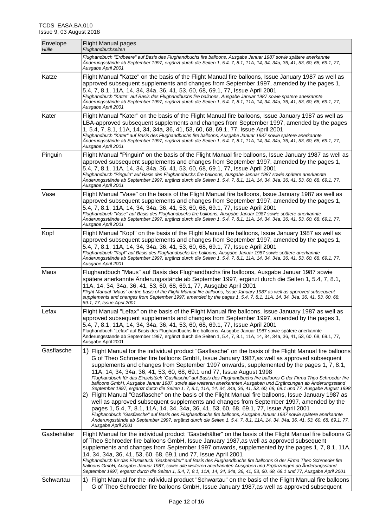| Envelope<br>Hülle | <b>Flight Manual pages</b><br>Flughandbuchseiten                                                                                                                                                                                                                                                                                                                                                                                                                                                                                                                                                                                                                                                                                                                                                                                                                                                                                                                                                                                                                                                                                                                                                                                                                                                                              |
|-------------------|-------------------------------------------------------------------------------------------------------------------------------------------------------------------------------------------------------------------------------------------------------------------------------------------------------------------------------------------------------------------------------------------------------------------------------------------------------------------------------------------------------------------------------------------------------------------------------------------------------------------------------------------------------------------------------------------------------------------------------------------------------------------------------------------------------------------------------------------------------------------------------------------------------------------------------------------------------------------------------------------------------------------------------------------------------------------------------------------------------------------------------------------------------------------------------------------------------------------------------------------------------------------------------------------------------------------------------|
|                   | Flughandbuch "Erdbeere" auf Basis des Flughandbuchs fire balloons, Ausgabe Januar 1987 sowie spätere anerkannte<br>Änderungsstände ab September 1997, ergänzt durch die Seiten 1, 5.4, 7, 8.1, 11A, 14, 34, 34a, 36, 41, 53, 60, 68, 69.1, 77,<br>Ausgabe April 2001                                                                                                                                                                                                                                                                                                                                                                                                                                                                                                                                                                                                                                                                                                                                                                                                                                                                                                                                                                                                                                                          |
| Katze             | Flight Manual "Katze" on the basis of the Flight Manual fire balloons, Issue January 1987 as well as<br>approved subsequent supplements and changes from September 1997, amended by the pages 1,<br>5.4, 7, 8.1, 11A, 14, 34, 34a, 36, 41, 53, 60, 68, 69.1, 77, Issue April 2001<br>Flughandbuch "Katze" auf Basis des Flughandbuchs fire balloons, Ausgabe Januar 1987 sowie spätere anerkannte<br>Änderungsstände ab September 1997, ergänzt durch die Seiten 1, 5.4, 7, 8.1, 11A, 14, 34, 34a, 36, 41, 53, 60, 68, 69.1, 77,<br>Ausgabe April 2001                                                                                                                                                                                                                                                                                                                                                                                                                                                                                                                                                                                                                                                                                                                                                                        |
| Kater             | Flight Manual "Kater" on the basis of the Flight Manual fire balloons, Issue January 1987 as well as<br>LBA-approved subsequent supplements and changes from September 1997, amended by the pages<br>1, 5.4, 7, 8.1, 11A, 14, 34, 34a, 36, 41, 53, 60, 68, 69.1, 77, Issue April 2001<br>Flughandbuch "Kater" auf Basis des Flughandbuchs fire balloons, Ausgabe Januar 1987 sowie spätere anerkannte<br>Änderungsstände ab September 1997, ergänzt durch die Seiten 1, 5.4, 7, 8.1, 11A, 14, 34, 34a, 36, 41, 53, 60, 68, 69.1, 77,<br>Ausgabe April 2001                                                                                                                                                                                                                                                                                                                                                                                                                                                                                                                                                                                                                                                                                                                                                                    |
| Pinguin           | Flight Manual "Pinguin" on the basis of the Flight Manual fire balloons, Issue January 1987 as well as<br>approved subsequent supplements and changes from September 1997, amended by the pages 1,<br>5.4, 7, 8.1, 11A, 14, 34, 34a, 36, 41, 53, 60, 68, 69.1, 77, Issue April 2001<br>Flughandbuch "Pinguin" auf Basis des Flughandbuchs fire balloons, Ausgabe Januar 1987 sowie spätere anerkannte<br>Änderungsstände ab September 1997, ergänzt durch die Seiten 1, 5.4, 7, 8.1, 11A, 14, 34, 34a, 36, 41, 53, 60, 68, 69.1, 77,<br>Ausgabe April 2001                                                                                                                                                                                                                                                                                                                                                                                                                                                                                                                                                                                                                                                                                                                                                                    |
| Vase              | Flight Manual "Vase" on the basis of the Flight Manual fire balloons, Issue January 1987 as well as<br>approved subsequent supplements and changes from September 1997, amended by the pages 1,<br>5.4, 7, 8.1, 11A, 14, 34, 34a, 36, 41, 53, 60, 68, 69.1, 77, Issue April 2001<br>Flughandbuch "Vase" auf Basis des Flughandbuchs fire balloons, Ausgabe Januar 1987 sowie spätere anerkannte<br>Änderungsstände ab September 1997, ergänzt durch die Seiten 1, 5.4, 7, 8.1, 11A, 14, 34, 34a, 36, 41, 53, 60, 68, 69.1, 77,<br>Ausgabe April 2001                                                                                                                                                                                                                                                                                                                                                                                                                                                                                                                                                                                                                                                                                                                                                                          |
| Kopf              | Flight Manual "Kopf" on the basis of the Flight Manual fire balloons, Issue January 1987 as well as<br>approved subsequent supplements and changes from September 1997, amended by the pages 1,<br>5.4, 7, 8.1, 11A, 14, 34, 34a, 36, 41, 53, 60, 68, 69.1, 77, Issue April 2001<br>Flughandbuch "Kopf" auf Basis des Flughandbuchs fire balloons, Ausgabe Januar 1987 sowie spätere anerkannte<br>Änderungsstände ab September 1997, ergänzt durch die Seiten 1, 5.4, 7, 8.1, 11A, 14, 34, 34a, 36, 41, 53, 60, 68, 69.1, 77,<br>Ausgabe April 2001                                                                                                                                                                                                                                                                                                                                                                                                                                                                                                                                                                                                                                                                                                                                                                          |
| Maus              | Flughandbuch "Maus" auf Basis des Flughandbuchs fire balloons, Ausgabe Januar 1987 sowie<br>spätere anerkannte Änderungsstände ab September 1997, ergänzt durch die Seiten 1, 5.4, 7, 8.1,<br>11A, 14, 34, 34a, 36, 41, 53, 60, 68, 69.1, 77, Ausgabe April 2001<br>Flight Manual "Maus" on the basis of the Flight Manual fire balloons, Issue January 1987 as well as approved subsequent<br>supplements and changes from September 1997, amended by the pages 1, 5.4, 7, 8.1, 11A, 14, 34, 34a, 36, 41, 53, 60, 68,<br>69.1, 77, Issue April 2001                                                                                                                                                                                                                                                                                                                                                                                                                                                                                                                                                                                                                                                                                                                                                                          |
| Lefax             | Flight Manual "Lefax" on the basis of the Flight Manual fire balloons, Issue January 1987 as well as<br>approved subsequent supplements and changes from September 1997, amended by the pages 1,<br>5.4, 7, 8.1, 11A, 14, 34, 34a, 36, 41, 53, 60, 68, 69.1, 77, Issue April 2001<br>Flughandbuch "Lefax" auf Basis des Flughandbuchs fire balloons, Ausgabe Januar 1987 sowie spätere anerkannte<br>Änderungsstände ab September 1997, ergänzt durch die Seiten 1, 5.4, 7, 8.1, 11A, 14, 34, 34a, 36, 41, 53, 60, 68, 69.1, 77,<br>Ausgabe April 2001                                                                                                                                                                                                                                                                                                                                                                                                                                                                                                                                                                                                                                                                                                                                                                        |
| Gasflasche        | 1) Flight Manual for the individual product "Gasflasche" on the basis of the Flight Manual fire balloons<br>G of Theo Schroeder fire balloons GmbH, Issue January 1987, as well as approved subsequent<br>supplements and changes from September 1997 onwards, supplemented by the pages 1, 7, 8.1,<br>11A, 14, 34, 34a, 36, 41, 53, 60, 68, 69.1 und 77, Issue August 1998<br>Flughandbuch für das Einzelstück "Gasflasche" auf Basis des Flughandbuchs fire balloons G der Firma Theo Schroeder fire<br>balloons GmbH, Ausgabe Januar 1987, sowie alle weiteren anerkannten Ausgaben und Ergänzungen ab Änderungsstand<br>September 1997, ergänzt durch die Seiten 1, 7, 8.1, 11A, 14, 34, 34a, 36, 41, 53, 60, 68, 69.1 und 77, Ausgabe August 1998<br>2) Flight Manual "Gasflasche" on the basis of the Flight Manual fire balloons, Issue January 1987 as<br>well as approved subsequent supplements and changes from September 1997, amended by the<br>pages 1, 5.4, 7, 8.1, 11A, 14, 34, 34a, 36, 41, 53, 60, 68, 69.1, 77, Issue April 2001<br>Flughandbuch "Gasflasche" auf Basis des Flughandbuchs fire balloons, Ausgabe Januar 1987 sowie spätere anerkannte<br>Ånderungsstände ab September 1997, ergänzt durch die Seiten 1, 5.4, 7, 8.1, 11A, 14, 34, 34a, 36, 41, 53, 60, 68, 69.1, 77,<br>Ausgabe April 2001 |
| Gasbehälter       | Flight Manual for the individual product "Gasbehälter" on the basis of the Flight Manual fire balloons G<br>of Theo Schroeder fire balloons GmbH, Issue January 1987, as well as approved subsequent<br>supplements and changes from September 1997 onwards, supplemented by the pages 1, 7, 8.1, 11A,<br>14, 34, 34a, 36, 41, 53, 60, 68, 69.1 und 77, Issue April 2001<br>Flughandbuch für das Einzelstück "Gasbehälter" auf Basis des Flughandbuchs fire balloons G der Firma Theo Schroeder fire<br>balloons GmbH, Ausgabe Januar 1987, sowie alle weiteren anerkannten Ausgaben und Ergänzungen ab Änderungsstand<br>September 1997, ergänzt durch die Seiten 1, 5.4, 7, 8.1, 11A, 14, 34, 34a, 36, 41, 53, 60, 68, 69.1 und 77, Ausgabe April 2001                                                                                                                                                                                                                                                                                                                                                                                                                                                                                                                                                                      |
| Schwartau         | 1) Flight Manual for the individual product "Schwartau" on the basis of the Flight Manual fire balloons<br>G of Theo Schroeder fire balloons GmbH, Issue January 1987, as well as approved subsequent                                                                                                                                                                                                                                                                                                                                                                                                                                                                                                                                                                                                                                                                                                                                                                                                                                                                                                                                                                                                                                                                                                                         |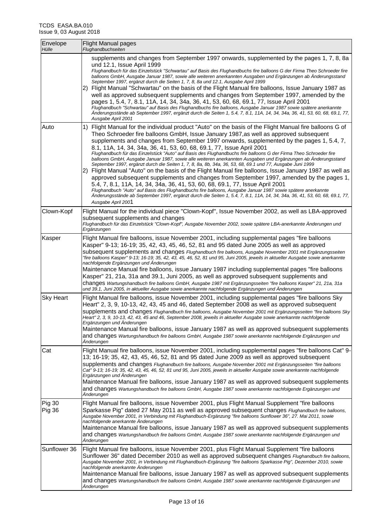| Envelope<br>Hülle              | <b>Flight Manual pages</b><br>Flughandbuchseiten                                                                                                                                                                                                                                                                                                                                                                                                                                                                                                                                                                                                                                                                                                                                                                                                                                                                                                                                                                                                                                                                                                                                                                                                                                      |
|--------------------------------|---------------------------------------------------------------------------------------------------------------------------------------------------------------------------------------------------------------------------------------------------------------------------------------------------------------------------------------------------------------------------------------------------------------------------------------------------------------------------------------------------------------------------------------------------------------------------------------------------------------------------------------------------------------------------------------------------------------------------------------------------------------------------------------------------------------------------------------------------------------------------------------------------------------------------------------------------------------------------------------------------------------------------------------------------------------------------------------------------------------------------------------------------------------------------------------------------------------------------------------------------------------------------------------|
|                                | supplements and changes from September 1997 onwards, supplemented by the pages 1, 7, 8, 8a<br>und 12.1, Issue April 1999<br>Flughandbuch für das Einzelstück "Schwartau" auf Basis des Flughandbuchs fire balloons G der Firma Theo Schroeder fire<br>balloons GmbH, Ausgabe Januar 1987, sowie alle weiteren anerkannten Ausgaben und Ergänzungen ab Änderungsstand<br>September 1997, ergänzt durch die Seiten 1, 7, 8, 8a und 12.1, Ausgabe April 1999<br>2) Flight Manual "Schwartau" on the basis of the Flight Manual fire balloons, Issue January 1987 as<br>well as approved subsequent supplements and changes from September 1997, amended by the<br>pages 1, 5.4, 7, 8.1, 11A, 14, 34, 34a, 36, 41, 53, 60, 68, 69.1, 77, Issue April 2001<br>Flughandbuch "Schwartau" auf Basis des Flughandbuchs fire balloons, Ausgabe Januar 1987 sowie spätere anerkannte<br>Ånderungsstände ab September 1997, ergänzt durch die Seiten 1, 5.4, 7, 8.1, 11A, 14, 34, 34a, 36, 41, 53, 60, 68, 69.1, 77,<br>Ausgabe April 2001                                                                                                                                                                                                                                                        |
| Auto                           | 1) Flight Manual for the individual product "Auto" on the basis of the Flight Manual fire balloons G of<br>Theo Schroeder fire balloons GmbH, Issue January 1987, as well as approved subsequent<br>supplements and changes from September 1997 onwards, supplemented by the pages 1, 5.4, 7,<br>8.1, 11A, 14, 34, 34a, 36, 41, 53, 60, 68, 69.1, 77, Issue April 2001<br>Flughandbuch für das Einzelstück "Auto" auf Basis des Flughandbuchs fire balloons G der Firma Theo Schroeder fire<br>balloons GmbH, Ausgabe Januar 1987, sowie alle weiteren anerkannten Ausgaben und Ergänzungen ab Anderungsstand<br>September 1997, ergänzt durch die Seiten 1, 7, 8, 8a, 8b, 34a, 36, 53, 68, 69.1 und 77, Ausgabe Juni 1999<br>2) Flight Manual "Auto" on the basis of the Flight Manual fire balloons, Issue January 1987 as well as<br>approved subsequent supplements and changes from September 1997, amended by the pages 1,<br>5.4, 7, 8.1, 11A, 14, 34, 34a, 36, 41, 53, 60, 68, 69.1, 77, Issue April 2001<br>Flughandbuch "Auto" auf Basis des Flughandbuchs fire balloons, Ausgabe Januar 1987 sowie spätere anerkannte<br>Änderungsstände ab September 1997, ergänzt durch die Seiten 1, 5.4, 7, 8.1, 11A, 14, 34, 34a, 36, 41, 53, 60, 68, 69.1, 77,<br>Ausgabe April 2001 |
| Clown-Kopf                     | Flight Manual for the individual piece "Clown-Kopf", Issue November 2002, as well as LBA-approved<br>subsequent supplements and changes<br>Flughandbuch für das Einzelstück "Clown-Kopf", Ausgabe November 2002, sowie spätere LBA-anerkannte Änderungen und<br>Ergänzungen                                                                                                                                                                                                                                                                                                                                                                                                                                                                                                                                                                                                                                                                                                                                                                                                                                                                                                                                                                                                           |
| Kasper                         | Flight Manual fire balloons, issue November 2001, including supplemental pages "fire balloons<br>Kasper" 9-13; 16-19; 35, 42, 43, 45, 46, 52, 81 and 95 dated June 2005 as well as approved<br>subsequent supplements and changes Flughandbuch fire balloons, Ausgabe November 2001 mit Ergänzungsseiten<br>"fire balloons Kasper" 9-13; 16-19; 35, 42, 43, 45, 46, 52, 81 und 95, Juni 2005, jeweils in aktueller Ausgabe sowie anerkannte<br>nachfolgende Ergänzungen und Änderungen<br>Maintenance Manual fire balloons, issue January 1987 including supplemental pages "fire balloons<br>Kasper" 21, 21a, 31a and 39.1, Juni 2005, as well as approved subsequent supplements and<br>changes Wartungshandbuch fire balloons GmbH, Ausgabe 1987 mit Ergänzungsseiten "fire balloons Kasper" 21, 21a, 31a<br>und 39.1, Juni 2005, in aktueller Ausgabe sowie anerkannte nachfolgende Ergänzungen und Änderungen                                                                                                                                                                                                                                                                                                                                                                    |
| <b>Sky Heart</b>               | Flight Manual fire balloons, issue November 2001, including supplemental pages "fire balloons Sky<br>Heart" 2, 3, 9, 10-13, 42, 43, 45 and 46, dated September 2008 as well as approved subsequent<br>supplements and changes Flughandbuch fire balloons, Ausgabe November 2001 mit Ergänzungsseiten "fire balloons Sky<br>Heart" 2, 3, 9, 10-13, 42, 43, 45 and 46, September 2008, jeweils in aktueller Ausgabe sowie anerkannte nachfolgende<br>Ergänzungen und Änderungen<br>Maintenance Manual fire balloons, issue January 1987 as well as approved subsequent supplements<br>and changes Wartungshandbuch fire balloons GmbH, Ausgabe 1987 sowie anerkannte nachfolgende Ergänzungen und<br>Anderungen                                                                                                                                                                                                                                                                                                                                                                                                                                                                                                                                                                         |
| Cat                            | Flight Manual fire balloons, issue November 2001, including supplemental pages "fire balloons Cat" 9-<br>13; 16-19; 35, 42, 43, 45, 46, 52, 81 and 95 dated June 2009 as well as approved subsequent<br>Supplements and changes Flughandbuch fire balloons, Ausgabe November 2001 mit Ergänzungsseiten "fire balloons<br>Cat" 9-13; 16-19; 35, 42, 43, 45, 46, 52, 81 und 95, Juni 2005, jeweils in aktueller Ausgabe sowie anerkannte nachfolgende<br>Ergänzungen und Änderungen<br>Maintenance Manual fire balloons, issue January 1987 as well as approved subsequent supplements<br>and changes Wartungshandbuch fire balloons GmbH, Ausgabe 1987 sowie anerkannte nachfolgende Ergänzungen und<br>Änderungen                                                                                                                                                                                                                                                                                                                                                                                                                                                                                                                                                                     |
| <b>Pig 30</b><br><b>Pig 36</b> | Flight Manual fire balloons, issue November 2001, plus Flight Manual Supplement "fire balloons<br>Sparkasse Pig" dated 27 May 2011 as well as approved subsequent changes Flughandbuch fire balloons,<br>Ausgabe November 2001, in Verbindung mit Flughandbuch-Ergänzung "fire balloons Sunflower 36", 27. Mai 2011, sowie<br>nachfolgende anerkannte Änderungen<br>Maintenance Manual fire balloons, issue January 1987 as well as approved subsequent supplements<br>and changes Wartungshandbuch fire balloons GmbH, Ausgabe 1987 sowie anerkannte nachfolgende Ergänzungen und<br>Änderungen                                                                                                                                                                                                                                                                                                                                                                                                                                                                                                                                                                                                                                                                                      |
| Sunflower 36                   | Flight Manual fire balloons, issue November 2001, plus Flight Manual Supplement "fire balloons<br>Sunflower 36" dated December 2010 as well as approved subsequent changes Flughandbuch fire balloons,<br>Ausgabe November 2001, in Verbindung mit Flughandbuch-Ergänzung "fire balloons Sparkasse Pig", Dezember 2010, sowie<br>nachfolgende anerkannte Änderungen<br>Maintenance Manual fire balloons, issue January 1987 as well as approved subsequent supplements<br>and changes Wartungshandbuch fire balloons GmbH, Ausgabe 1987 sowie anerkannte nachfolgende Ergänzungen und<br>Änderungen                                                                                                                                                                                                                                                                                                                                                                                                                                                                                                                                                                                                                                                                                   |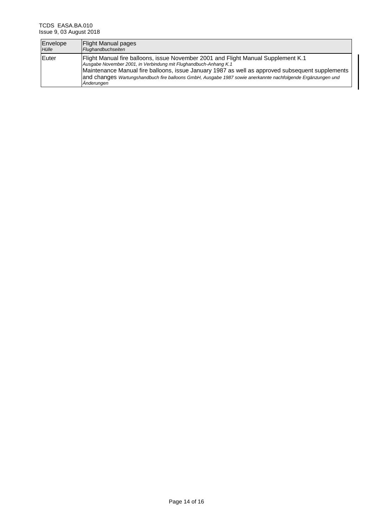| Envelope | <b>Flight Manual pages</b>                                                                                                                                                                                                                                                                                                                                                            |
|----------|---------------------------------------------------------------------------------------------------------------------------------------------------------------------------------------------------------------------------------------------------------------------------------------------------------------------------------------------------------------------------------------|
| Hülle    | Flughandbuchseiten                                                                                                                                                                                                                                                                                                                                                                    |
| Euter    | Flight Manual fire balloons, issue November 2001 and Flight Manual Supplement K.1<br>Ausgabe November 2001, in Verbindung mit Flughandbuch-Anhang K.1<br>Maintenance Manual fire balloons, issue January 1987 as well as approved subsequent supplements<br>and changes Wartungshandbuch fire balloons GmbH, Ausgabe 1987 sowie anerkannte nachfolgende Ergänzungen und<br>Anderungen |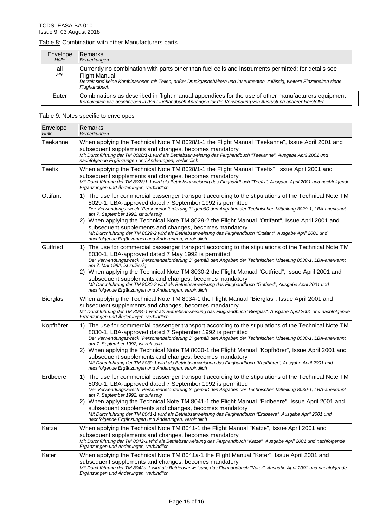### Table 8: Combination with other Manufacturers parts

|             | Envelope<br>Hülle | <b>IRemarks</b><br>Bemerkungen                                                                                                                                                                                                                                              |
|-------------|-------------------|-----------------------------------------------------------------------------------------------------------------------------------------------------------------------------------------------------------------------------------------------------------------------------|
| all<br>alle |                   | Currently no combination with parts other than fuel cells and instruments permitted; for details see<br><b>Flight Manual</b><br>Derzeit sind keine Kombinationen mit Teilen, außer Druckgasbehältern und Instrumenten, zulässig; weitere Einzelheiten siehe<br>Flughandbuch |
|             | Euter             | Combinations as described in flight manual appendices for the use of other manufacturers equipment<br>Kombination wie beschrieben in den Flughandbuch Anhängen für die Verwendung von Ausrüstung anderer Hersteller                                                         |

# Table 9: Notes specific to envelopes

| Envelope<br>Hülle | Remarks<br>Bemerkungen                                                                                                                                                                                                                                                                                                                                                                                                                                                                                                                                                                                                                                               |
|-------------------|----------------------------------------------------------------------------------------------------------------------------------------------------------------------------------------------------------------------------------------------------------------------------------------------------------------------------------------------------------------------------------------------------------------------------------------------------------------------------------------------------------------------------------------------------------------------------------------------------------------------------------------------------------------------|
| Teekanne          | When applying the Technical Note TM 8028/1-1 the Flight Manual "Teekanne", Issue April 2001 and<br>subsequent supplements and changes, becomes mandatory<br>Mit Durchführung der TM 8028/1-1 wird als Betriebsanweisung das Flughandbuch "Teekanne", Ausgabe April 2001 und<br>nachfolgende Ergänzungen und Änderungen, verbindlich                                                                                                                                                                                                                                                                                                                                  |
| Teefix            | When applying the Technical Note TM 8028/1-1 the Flight Manual "Teefix", Issue April 2001 and<br>subsequent supplements and changes, becomes mandatory<br>Mit Durchführung der TM 8028/1-1 wird als Betriebsanweisung das Flughandbuch "Teefix", Ausgabe April 2001 und nachfolgende<br>Ergänzungen und Änderungen, verbindlich                                                                                                                                                                                                                                                                                                                                      |
| Ottifant          | 1) The use for commercial passenger transport according to the stipulations of the Technical Note TM<br>8029-1, LBA-approved dated 7 September 1992 is permitted<br>Der Verwendungszweck "Personenbeförderung 3" gemäß den Angaben der Technischen Mitteilung 8029-1, LBA-anerkannt<br>am 7. September 1992, ist zulässig<br>2) When applying the Technical Note TM 8029-2 the Flight Manual "Ottifant", Issue April 2001 and<br>subsequent supplements and changes, becomes mandatory<br>Mit Durchführung der TM 8029-2 wird als Betriebsanweisung das Flughandbuch "Ottifant", Ausgabe April 2001 und<br>nachfolgende Ergänzungen und Änderungen, verbindlich      |
| Gutfried          | 1) The use for commercial passenger transport according to the stipulations of the Technical Note TM<br>8030-1, LBA-approved dated 7 May 1992 is permitted<br>Der Verwendungszweck "Personenbeförderung 3" gemäß den Angaben der Technischen Mitteilung 8030-1, LBA-anerkannt<br>am 7. Mai 1992, ist zulässig<br>When applying the Technical Note TM 8030-2 the Flight Manual "Gutfried", Issue April 2001 and<br>2)<br>subsequent supplements and changes, becomes mandatory<br>Mit Durchführung der TM 8030-2 wird als Betriebsanweisung das Flughandbuch "Gutfried", Ausgabe April 2001 und<br>nachfolgende Ergänzungen und Änderungen, verbindlich               |
| Bierglas          | When applying the Technical Note TM 8034-1 the Flight Manual "Bierglas", Issue April 2001 and<br>subsequent supplements and changes, becomes mandatory<br>Mit Durchführung der TM 8034-1 wird als Betriebsanweisung das Flughandbuch "Bierglas", Ausgabe April 2001 und nachfolgende<br>Ergänzungen und Änderungen, verbindlich                                                                                                                                                                                                                                                                                                                                      |
| Kopfhörer         | 1) The use for commercial passenger transport according to the stipulations of the Technical Note TM<br>8030-1, LBA-approved dated 7 September 1992 is permitted<br>Der Verwendungszweck "Personenbeförderung 3" gemäß den Angaben der Technischen Mitteilung 8030-1, LBA-anerkannt<br>am 7. September 1992, ist zulässig<br>When applying the Technical Note TM 8030-1 the Flight Manual "Kopfhörer", Issue April 2001 and<br>2)<br>subsequent supplements and changes, becomes mandatory<br>Mit Durchführung der TM 8039-1 wird als Betriebsanweisung das Flughandbuch "Kopfhörer", Ausgabe April 2001 und<br>nachfolgende Ergänzungen und Änderungen, verbindlich |
| Erdbeere          | The use for commercial passenger transport according to the stipulations of the Technical Note TM<br>1).<br>8030-1, LBA-approved dated 7 September 1992 is permitted<br>Der Verwendungszweck "Personenbeförderung 3" gemäß den Angaben der Technischen Mitteilung 8030-1, LBA-anerkannt<br>am 7. September 1992, ist zulässig<br>2) When applying the Technical Note TM 8041-1 the Flight Manual "Erdbeere", Issue April 2001 and<br>subsequent supplements and changes, becomes mandatory<br>Mit Durchführung der TM 8041-1 wird als Betriebsanweisung das Flughandbuch "Erdbeere", Ausgabe April 2001 und<br>nachfolgende Ergänzungen und Änderungen, verbindlich  |
| Katze             | When applying the Technical Note TM 8041-1 the Flight Manual "Katze", Issue April 2001 and<br>subsequent supplements and changes, becomes mandatory<br>Mit Durchführung der TM 8042-1 wird als Betriebsanweisung das Flughandbuch "Katze", Ausgabe April 2001 und nachfolgende<br>Ergänzungen und Änderungen, verbindlich                                                                                                                                                                                                                                                                                                                                            |
| Kater             | When applying the Technical Note TM 8041a-1 the Flight Manual "Kater", Issue April 2001 and<br>subsequent supplements and changes, becomes mandatory<br>Mit Durchführung der TM 8042a-1 wird als Betriebsanweisung das Flughandbuch "Kater", Ausgabe April 2001 und nachfolgende<br>Ergänzungen und Änderungen, verbindlich                                                                                                                                                                                                                                                                                                                                          |